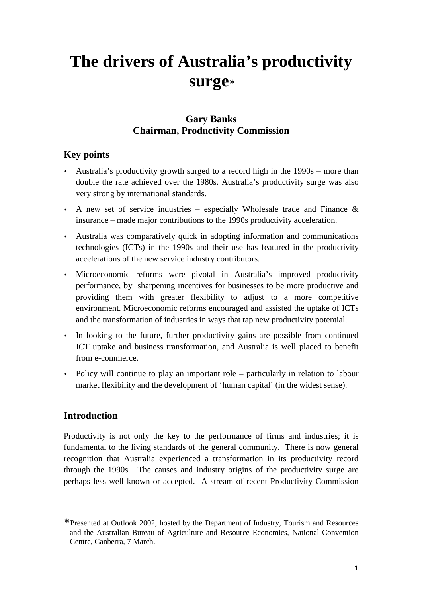# **The drivers of Australia's productivity surge**<sup>∗</sup>

## **Gary Banks Chairman, Productivity Commission**

## **Key points**

- Australia's productivity growth surged to a record high in the 1990s more than double the rate achieved over the 1980s. Australia's productivity surge was also very strong by international standards.
- A new set of service industries especially Wholesale trade and Finance  $\&$ insurance – made major contributions to the 1990s productivity acceleration.
- Australia was comparatively quick in adopting information and communications technologies (ICTs) in the 1990s and their use has featured in the productivity accelerations of the new service industry contributors.
- Microeconomic reforms were pivotal in Australia's improved productivity performance, by sharpening incentives for businesses to be more productive and providing them with greater flexibility to adjust to a more competitive environment. Microeconomic reforms encouraged and assisted the uptake of ICTs and the transformation of industries in ways that tap new productivity potential.
- In looking to the future, further productivity gains are possible from continued ICT uptake and business transformation, and Australia is well placed to benefit from e-commerce.
- Policy will continue to play an important role particularly in relation to labour market flexibility and the development of 'human capital' (in the widest sense).

## **Introduction**

-

Productivity is not only the key to the performance of firms and industries; it is fundamental to the living standards of the general community. There is now general recognition that Australia experienced a transformation in its productivity record through the 1990s. The causes and industry origins of the productivity surge are perhaps less well known or accepted. A stream of recent Productivity Commission

<sup>∗</sup> Presented at Outlook 2002, hosted by the Department of Industry, Tourism and Resources and the Australian Bureau of Agriculture and Resource Economics, National Convention Centre, Canberra, 7 March.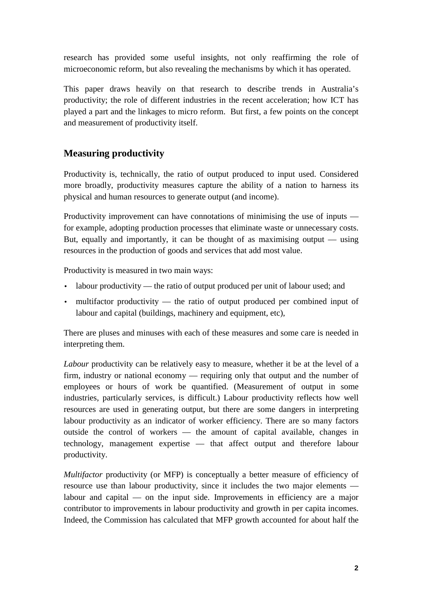research has provided some useful insights, not only reaffirming the role of microeconomic reform, but also revealing the mechanisms by which it has operated.

This paper draws heavily on that research to describe trends in Australia's productivity; the role of different industries in the recent acceleration; how ICT has played a part and the linkages to micro reform. But first, a few points on the concept and measurement of productivity itself.

### **Measuring productivity**

Productivity is, technically, the ratio of output produced to input used. Considered more broadly, productivity measures capture the ability of a nation to harness its physical and human resources to generate output (and income).

Productivity improvement can have connotations of minimising the use of inputs for example, adopting production processes that eliminate waste or unnecessary costs. But, equally and importantly, it can be thought of as maximising output — using resources in the production of goods and services that add most value.

Productivity is measured in two main ways:

- labour productivity the ratio of output produced per unit of labour used; and
- multifactor productivity the ratio of output produced per combined input of labour and capital (buildings, machinery and equipment, etc),

There are pluses and minuses with each of these measures and some care is needed in interpreting them.

*Labour* productivity can be relatively easy to measure, whether it be at the level of a firm, industry or national economy — requiring only that output and the number of employees or hours of work be quantified. (Measurement of output in some industries, particularly services, is difficult.) Labour productivity reflects how well resources are used in generating output, but there are some dangers in interpreting labour productivity as an indicator of worker efficiency. There are so many factors outside the control of workers — the amount of capital available, changes in technology, management expertise — that affect output and therefore labour productivity.

*Multifactor* productivity (or MFP) is conceptually a better measure of efficiency of resource use than labour productivity, since it includes the two major elements labour and capital — on the input side. Improvements in efficiency are a major contributor to improvements in labour productivity and growth in per capita incomes. Indeed, the Commission has calculated that MFP growth accounted for about half the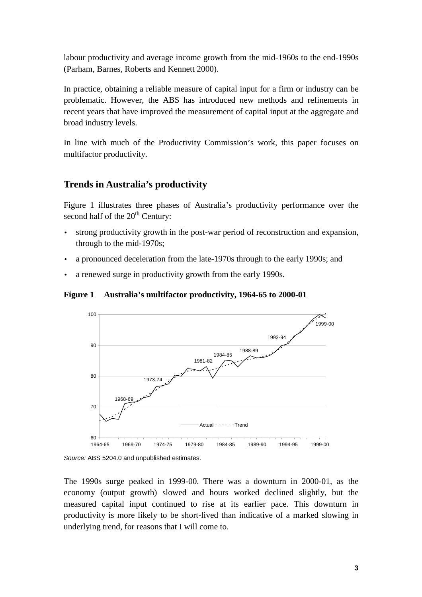labour productivity and average income growth from the mid-1960s to the end-1990s (Parham, Barnes, Roberts and Kennett 2000).

In practice, obtaining a reliable measure of capital input for a firm or industry can be problematic. However, the ABS has introduced new methods and refinements in recent years that have improved the measurement of capital input at the aggregate and broad industry levels.

In line with much of the Productivity Commission's work, this paper focuses on multifactor productivity.

#### **Trends in Australia's productivity**

Figure 1 illustrates three phases of Australia's productivity performance over the second half of the  $20<sup>th</sup>$  Century:

- strong productivity growth in the post-war period of reconstruction and expansion, through to the mid-1970s;
- a pronounced deceleration from the late-1970s through to the early 1990s; and
- a renewed surge in productivity growth from the early 1990s.

**Figure 1 Australia's multifactor productivity, 1964-65 to 2000-01**



Source: ABS 5204.0 and unpublished estimates.

The 1990s surge peaked in 1999-00. There was a downturn in 2000-01, as the economy (output growth) slowed and hours worked declined slightly, but the measured capital input continued to rise at its earlier pace. This downturn in productivity is more likely to be short-lived than indicative of a marked slowing in underlying trend, for reasons that I will come to.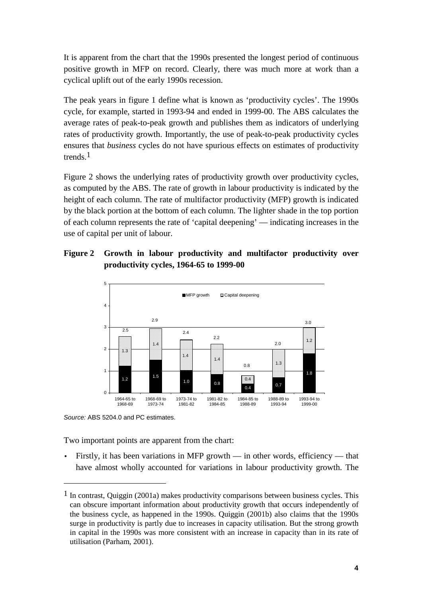It is apparent from the chart that the 1990s presented the longest period of continuous positive growth in MFP on record. Clearly, there was much more at work than a cyclical uplift out of the early 1990s recession.

The peak years in figure 1 define what is known as 'productivity cycles'. The 1990s cycle, for example, started in 1993-94 and ended in 1999-00. The ABS calculates the average rates of peak-to-peak growth and publishes them as indicators of underlying rates of productivity growth. Importantly, the use of peak-to-peak productivity cycles ensures that *business* cycles do not have spurious effects on estimates of productivity trends.1

Figure 2 shows the underlying rates of productivity growth over productivity cycles, as computed by the ABS. The rate of growth in labour productivity is indicated by the height of each column. The rate of multifactor productivity (MFP) growth is indicated by the black portion at the bottom of each column. The lighter shade in the top portion of each column represents the rate of 'capital deepening' — indicating increases in the use of capital per unit of labour.

#### **Figure 2 Growth in labour productivity and multifactor productivity over productivity cycles, 1964-65 to 1999-00**



Source: ABS 5204.0 and PC estimates.

-

Two important points are apparent from the chart:

• Firstly, it has been variations in MFP growth — in other words, efficiency — that have almost wholly accounted for variations in labour productivity growth. The

<sup>&</sup>lt;sup>1</sup> In contrast, Quiggin (2001a) makes productivity comparisons between business cycles. This can obscure important information about productivity growth that occurs independently of the business cycle, as happened in the 1990s. Quiggin (2001b) also claims that the 1990s surge in productivity is partly due to increases in capacity utilisation. But the strong growth in capital in the 1990s was more consistent with an increase in capacity than in its rate of utilisation (Parham, 2001).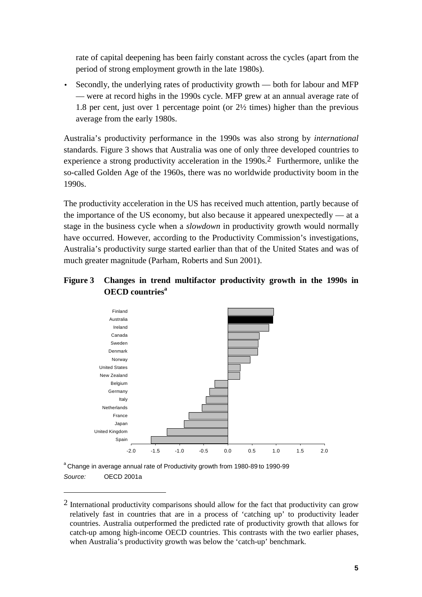rate of capital deepening has been fairly constant across the cycles (apart from the period of strong employment growth in the late 1980s).

• Secondly, the underlying rates of productivity growth — both for labour and MFP — were at record highs in the 1990s cycle. MFP grew at an annual average rate of 1.8 per cent, just over 1 percentage point (or 2½ times) higher than the previous average from the early 1980s.

Australia's productivity performance in the 1990s was also strong by *international* standards. Figure 3 shows that Australia was one of only three developed countries to experience a strong productivity acceleration in the 1990s.2 Furthermore, unlike the so-called Golden Age of the 1960s, there was no worldwide productivity boom in the 1990s.

The productivity acceleration in the US has received much attention, partly because of the importance of the US economy, but also because it appeared unexpectedly — at a stage in the business cycle when a *slowdown* in productivity growth would normally have occurred. However, according to the Productivity Commission's investigations, Australia's productivity surge started earlier than that of the United States and was of much greater magnitude (Parham, Roberts and Sun 2001).

#### **Figure 3 Changes in trend multifactor productivity growth in the 1990s in OECD countries<sup>a</sup>**



<sup>a</sup> Change in average annual rate of Productivity growth from 1980-89 to 1990-99 Source: **OECD 2001a** 

-

 $2$  International productivity comparisons should allow for the fact that productivity can grow relatively fast in countries that are in a process of 'catching up' to productivity leader countries. Australia outperformed the predicted rate of productivity growth that allows for catch-up among high-income OECD countries. This contrasts with the two earlier phases, when Australia's productivity growth was below the 'catch-up' benchmark.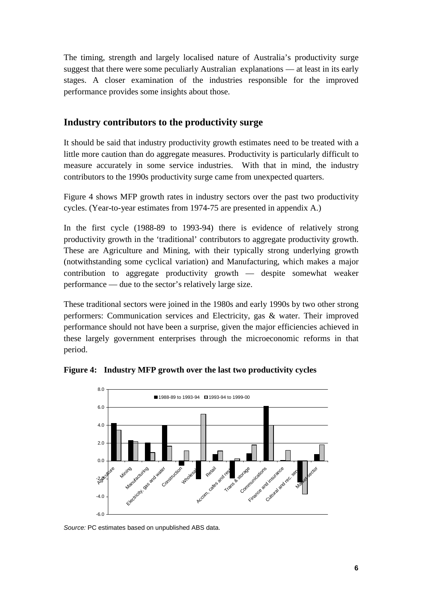The timing, strength and largely localised nature of Australia's productivity surge suggest that there were some peculiarly Australian explanations — at least in its early stages. A closer examination of the industries responsible for the improved performance provides some insights about those.

#### **Industry contributors to the productivity surge**

It should be said that industry productivity growth estimates need to be treated with a little more caution than do aggregate measures. Productivity is particularly difficult to measure accurately in some service industries. With that in mind, the industry contributors to the 1990s productivity surge came from unexpected quarters.

Figure 4 shows MFP growth rates in industry sectors over the past two productivity cycles. (Year-to-year estimates from 1974-75 are presented in appendix A.)

In the first cycle (1988-89 to 1993-94) there is evidence of relatively strong productivity growth in the 'traditional' contributors to aggregate productivity growth. These are Agriculture and Mining, with their typically strong underlying growth (notwithstanding some cyclical variation) and Manufacturing, which makes a major contribution to aggregate productivity growth — despite somewhat weaker performance — due to the sector's relatively large size.

These traditional sectors were joined in the 1980s and early 1990s by two other strong performers: Communication services and Electricity, gas & water. Their improved performance should not have been a surprise, given the major efficiencies achieved in these largely government enterprises through the microeconomic reforms in that period.



**Figure 4: Industry MFP growth over the last two productivity cycles**

Source: PC estimates based on unpublished ABS data.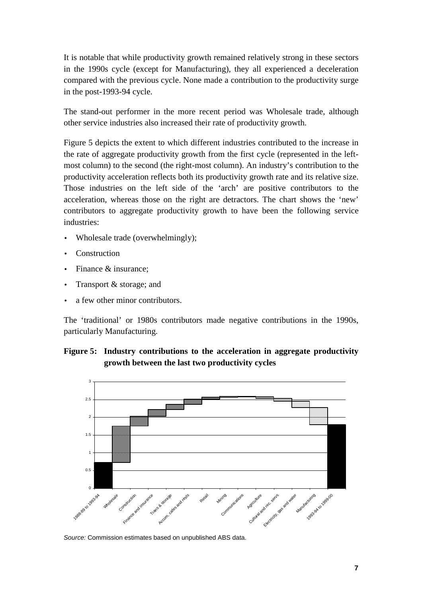It is notable that while productivity growth remained relatively strong in these sectors in the 1990s cycle (except for Manufacturing), they all experienced a deceleration compared with the previous cycle. None made a contribution to the productivity surge in the post-1993-94 cycle.

The stand-out performer in the more recent period was Wholesale trade, although other service industries also increased their rate of productivity growth.

Figure 5 depicts the extent to which different industries contributed to the increase in the rate of aggregate productivity growth from the first cycle (represented in the leftmost column) to the second (the right-most column). An industry's contribution to the productivity acceleration reflects both its productivity growth rate and its relative size. Those industries on the left side of the 'arch' are positive contributors to the acceleration, whereas those on the right are detractors. The chart shows the 'new' contributors to aggregate productivity growth to have been the following service industries:

- Wholesale trade (overwhelmingly);
- Construction
- Finance & insurance:
- Transport & storage; and
- a few other minor contributors.

The 'traditional' or 1980s contributors made negative contributions in the 1990s, particularly Manufacturing.





Source: Commission estimates based on unpublished ABS data.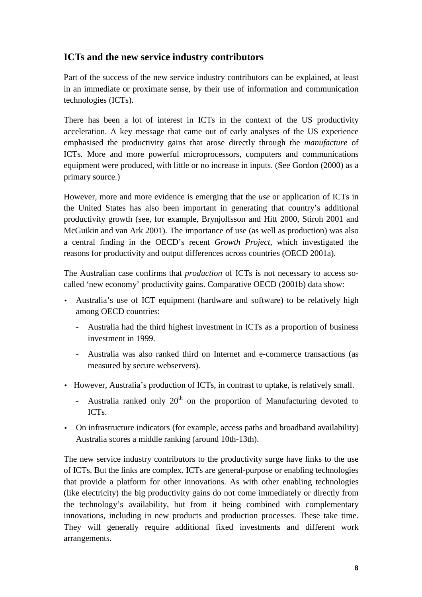#### **ICTs and the new service industry contributors**

Part of the success of the new service industry contributors can be explained, at least in an immediate or proximate sense, by their use of information and communication technologies (ICTs).

There has been a lot of interest in ICTs in the context of the US productivity acceleration. A key message that came out of early analyses of the US experience emphasised the productivity gains that arose directly through the *manufacture* of ICTs. More and more powerful microprocessors, computers and communications equipment were produced, with little or no increase in inputs. (See Gordon (2000) as a primary source.)

However, more and more evidence is emerging that the *use* or application of ICTs in the United States has also been important in generating that country's additional productivity growth (see, for example, Brynjolfsson and Hitt 2000, Stiroh 2001 and McGuikin and van Ark 2001). The importance of use (as well as production) was also a central finding in the OECD's recent *Growth Project*, which investigated the reasons for productivity and output differences across countries (OECD 2001a).

The Australian case confirms that *production* of ICTs is not necessary to access socalled 'new economy' productivity gains. Comparative OECD (2001b) data show:

- Australia's use of ICT equipment (hardware and software) to be relatively high among OECD countries:
	- Australia had the third highest investment in ICTs as a proportion of business investment in 1999.
	- Australia was also ranked third on Internet and e-commerce transactions (as measured by secure webservers).
- However, Australia's production of ICTs, in contrast to uptake, is relatively small.
	- Australia ranked only  $20<sup>th</sup>$  on the proportion of Manufacturing devoted to ICTs.
- On infrastructure indicators (for example, access paths and broadband availability) Australia scores a middle ranking (around 10th-13th).

The new service industry contributors to the productivity surge have links to the use of ICTs. But the links are complex. ICTs are general-purpose or enabling technologies that provide a platform for other innovations. As with other enabling technologies (like electricity) the big productivity gains do not come immediately or directly from the technology's availability, but from it being combined with complementary innovations, including in new products and production processes. These take time. They will generally require additional fixed investments and different work arrangements.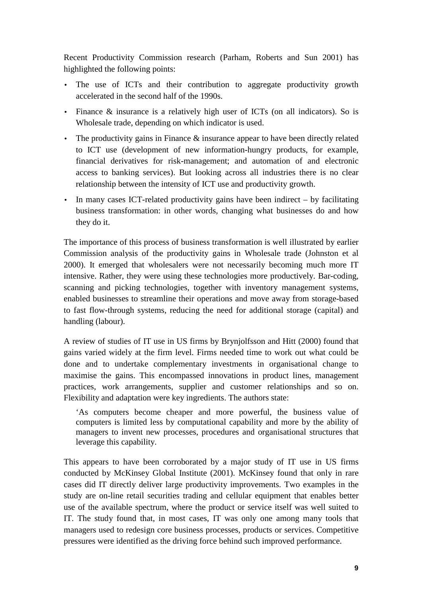Recent Productivity Commission research (Parham, Roberts and Sun 2001) has highlighted the following points:

- The use of ICTs and their contribution to aggregate productivity growth accelerated in the second half of the 1990s.
- Finance & insurance is a relatively high user of ICTs (on all indicators). So is Wholesale trade, depending on which indicator is used.
- The productivity gains in Finance & insurance appear to have been directly related to ICT use (development of new information-hungry products, for example, financial derivatives for risk-management; and automation of and electronic access to banking services). But looking across all industries there is no clear relationship between the intensity of ICT use and productivity growth.
- In many cases ICT-related productivity gains have been indirect by facilitating business transformation: in other words, changing what businesses do and how they do it.

The importance of this process of business transformation is well illustrated by earlier Commission analysis of the productivity gains in Wholesale trade (Johnston et al 2000). It emerged that wholesalers were not necessarily becoming much more IT intensive. Rather, they were using these technologies more productively. Bar-coding, scanning and picking technologies, together with inventory management systems, enabled businesses to streamline their operations and move away from storage-based to fast flow-through systems, reducing the need for additional storage (capital) and handling (labour).

A review of studies of IT use in US firms by Brynjolfsson and Hitt (2000) found that gains varied widely at the firm level. Firms needed time to work out what could be done and to undertake complementary investments in organisational change to maximise the gains. This encompassed innovations in product lines, management practices, work arrangements, supplier and customer relationships and so on. Flexibility and adaptation were key ingredients. The authors state:

'As computers become cheaper and more powerful, the business value of computers is limited less by computational capability and more by the ability of managers to invent new processes, procedures and organisational structures that leverage this capability.

This appears to have been corroborated by a major study of IT use in US firms conducted by McKinsey Global Institute (2001). McKinsey found that only in rare cases did IT directly deliver large productivity improvements. Two examples in the study are on-line retail securities trading and cellular equipment that enables better use of the available spectrum, where the product or service itself was well suited to IT. The study found that, in most cases, IT was only one among many tools that managers used to redesign core business processes, products or services. Competitive pressures were identified as the driving force behind such improved performance.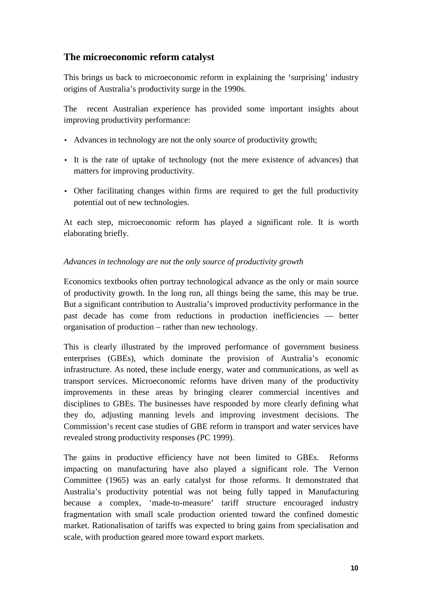#### **The microeconomic reform catalyst**

This brings us back to microeconomic reform in explaining the 'surprising' industry origins of Australia's productivity surge in the 1990s.

The recent Australian experience has provided some important insights about improving productivity performance:

- Advances in technology are not the only source of productivity growth;
- It is the rate of uptake of technology (not the mere existence of advances) that matters for improving productivity.
- Other facilitating changes within firms are required to get the full productivity potential out of new technologies.

At each step, microeconomic reform has played a significant role. It is worth elaborating briefly.

#### *Advances in technology are not the only source of productivity growth*

Economics textbooks often portray technological advance as the only or main source of productivity growth. In the long run, all things being the same, this may be true. But a significant contribution to Australia's improved productivity performance in the past decade has come from reductions in production inefficiencies — better organisation of production – rather than new technology.

This is clearly illustrated by the improved performance of government business enterprises (GBEs), which dominate the provision of Australia's economic infrastructure. As noted, these include energy, water and communications, as well as transport services. Microeconomic reforms have driven many of the productivity improvements in these areas by bringing clearer commercial incentives and disciplines to GBEs. The businesses have responded by more clearly defining what they do, adjusting manning levels and improving investment decisions. The Commission's recent case studies of GBE reform in transport and water services have revealed strong productivity responses (PC 1999).

The gains in productive efficiency have not been limited to GBEs. Reforms impacting on manufacturing have also played a significant role. The Vernon Committee (1965) was an early catalyst for those reforms. It demonstrated that Australia's productivity potential was not being fully tapped in Manufacturing because a complex, 'made-to-measure' tariff structure encouraged industry fragmentation with small scale production oriented toward the confined domestic market. Rationalisation of tariffs was expected to bring gains from specialisation and scale, with production geared more toward export markets.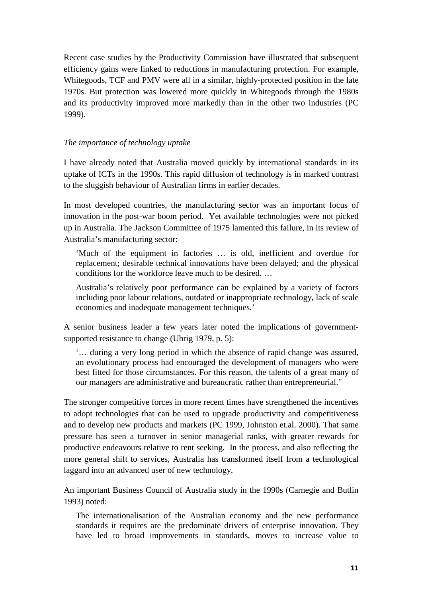Recent case studies by the Productivity Commission have illustrated that subsequent efficiency gains were linked to reductions in manufacturing protection. For example, Whitegoods, TCF and PMV were all in a similar, highly-protected position in the late 1970s. But protection was lowered more quickly in Whitegoods through the 1980s and its productivity improved more markedly than in the other two industries (PC 1999).

#### *The importance of technology uptake*

I have already noted that Australia moved quickly by international standards in its uptake of ICTs in the 1990s. This rapid diffusion of technology is in marked contrast to the sluggish behaviour of Australian firms in earlier decades.

In most developed countries, the manufacturing sector was an important focus of innovation in the post-war boom period. Yet available technologies were not picked up in Australia. The Jackson Committee of 1975 lamented this failure, in its review of Australia's manufacturing sector:

'Much of the equipment in factories … is old, inefficient and overdue for replacement; desirable technical innovations have been delayed; and the physical conditions for the workforce leave much to be desired. …

Australia's relatively poor performance can be explained by a variety of factors including poor labour relations, outdated or inappropriate technology, lack of scale economies and inadequate management techniques.'

A senior business leader a few years later noted the implications of governmentsupported resistance to change (Uhrig 1979, p. 5):

'… during a very long period in which the absence of rapid change was assured, an evolutionary process had encouraged the development of managers who were best fitted for those circumstances. For this reason, the talents of a great many of our managers are administrative and bureaucratic rather than entrepreneurial.'

The stronger competitive forces in more recent times have strengthened the incentives to adopt technologies that can be used to upgrade productivity and competitiveness and to develop new products and markets (PC 1999, Johnston et.al. 2000). That same pressure has seen a turnover in senior managerial ranks, with greater rewards for productive endeavours relative to rent seeking. In the process, and also reflecting the more general shift to services, Australia has transformed itself from a technological laggard into an advanced user of new technology.

An important Business Council of Australia study in the 1990s (Carnegie and Butlin 1993) noted:

The internationalisation of the Australian economy and the new performance standards it requires are the predominate drivers of enterprise innovation. They have led to broad improvements in standards, moves to increase value to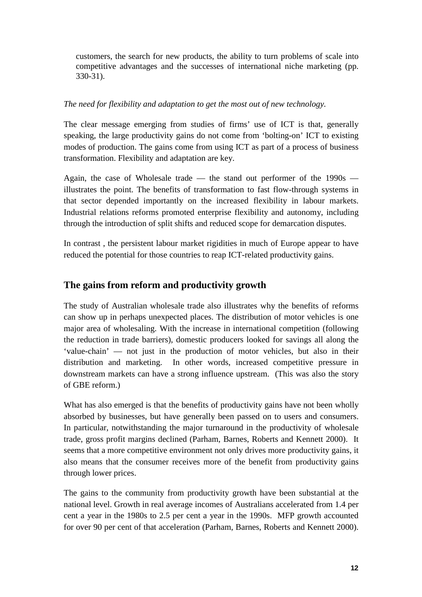customers, the search for new products, the ability to turn problems of scale into competitive advantages and the successes of international niche marketing (pp. 330-31).

#### *The need for flexibility and adaptation to get the most out of new technology.*

The clear message emerging from studies of firms' use of ICT is that, generally speaking, the large productivity gains do not come from 'bolting-on' ICT to existing modes of production. The gains come from using ICT as part of a process of business transformation. Flexibility and adaptation are key.

Again, the case of Wholesale trade — the stand out performer of the 1990s illustrates the point. The benefits of transformation to fast flow-through systems in that sector depended importantly on the increased flexibility in labour markets. Industrial relations reforms promoted enterprise flexibility and autonomy, including through the introduction of split shifts and reduced scope for demarcation disputes.

In contrast , the persistent labour market rigidities in much of Europe appear to have reduced the potential for those countries to reap ICT-related productivity gains.

#### **The gains from reform and productivity growth**

The study of Australian wholesale trade also illustrates why the benefits of reforms can show up in perhaps unexpected places. The distribution of motor vehicles is one major area of wholesaling. With the increase in international competition (following the reduction in trade barriers), domestic producers looked for savings all along the 'value-chain' — not just in the production of motor vehicles, but also in their distribution and marketing. In other words, increased competitive pressure in downstream markets can have a strong influence upstream. (This was also the story of GBE reform.)

What has also emerged is that the benefits of productivity gains have not been wholly absorbed by businesses, but have generally been passed on to users and consumers. In particular, notwithstanding the major turnaround in the productivity of wholesale trade, gross profit margins declined (Parham, Barnes, Roberts and Kennett 2000). It seems that a more competitive environment not only drives more productivity gains, it also means that the consumer receives more of the benefit from productivity gains through lower prices.

The gains to the community from productivity growth have been substantial at the national level. Growth in real average incomes of Australians accelerated from 1.4 per cent a year in the 1980s to 2.5 per cent a year in the 1990s. MFP growth accounted for over 90 per cent of that acceleration (Parham, Barnes, Roberts and Kennett 2000).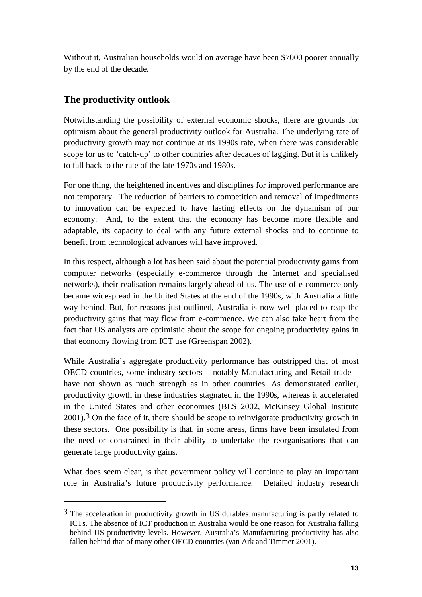Without it, Australian households would on average have been \$7000 poorer annually by the end of the decade.

## **The productivity outlook**

-

Notwithstanding the possibility of external economic shocks, there are grounds for optimism about the general productivity outlook for Australia. The underlying rate of productivity growth may not continue at its 1990s rate, when there was considerable scope for us to 'catch-up' to other countries after decades of lagging. But it is unlikely to fall back to the rate of the late 1970s and 1980s.

For one thing, the heightened incentives and disciplines for improved performance are not temporary. The reduction of barriers to competition and removal of impediments to innovation can be expected to have lasting effects on the dynamism of our economy. And, to the extent that the economy has become more flexible and adaptable, its capacity to deal with any future external shocks and to continue to benefit from technological advances will have improved.

In this respect, although a lot has been said about the potential productivity gains from computer networks (especially e-commerce through the Internet and specialised networks), their realisation remains largely ahead of us. The use of e-commerce only became widespread in the United States at the end of the 1990s, with Australia a little way behind. But, for reasons just outlined, Australia is now well placed to reap the productivity gains that may flow from e-commence. We can also take heart from the fact that US analysts are optimistic about the scope for ongoing productivity gains in that economy flowing from ICT use (Greenspan 2002).

While Australia's aggregate productivity performance has outstripped that of most OECD countries, some industry sectors – notably Manufacturing and Retail trade – have not shown as much strength as in other countries. As demonstrated earlier, productivity growth in these industries stagnated in the 1990s, whereas it accelerated in the United States and other economies (BLS 2002, McKinsey Global Institute  $2001$ ).<sup>3</sup> On the face of it, there should be scope to reinvigorate productivity growth in these sectors. One possibility is that, in some areas, firms have been insulated from the need or constrained in their ability to undertake the reorganisations that can generate large productivity gains.

What does seem clear, is that government policy will continue to play an important role in Australia's future productivity performance. Detailed industry research

 $3$  The acceleration in productivity growth in US durables manufacturing is partly related to ICTs. The absence of ICT production in Australia would be one reason for Australia falling behind US productivity levels. However, Australia's Manufacturing productivity has also fallen behind that of many other OECD countries (van Ark and Timmer 2001).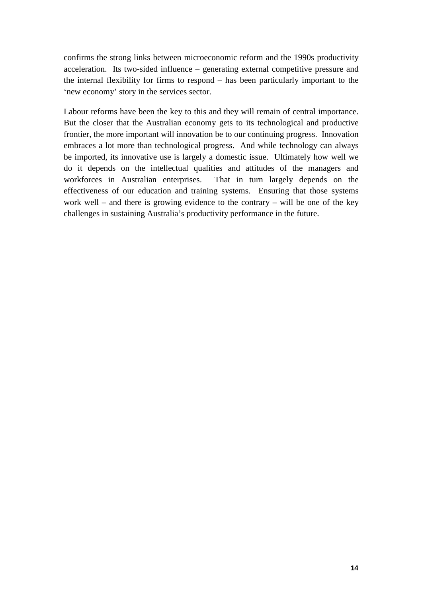confirms the strong links between microeconomic reform and the 1990s productivity acceleration. Its two-sided influence – generating external competitive pressure and the internal flexibility for firms to respond – has been particularly important to the 'new economy' story in the services sector.

Labour reforms have been the key to this and they will remain of central importance. But the closer that the Australian economy gets to its technological and productive frontier, the more important will innovation be to our continuing progress. Innovation embraces a lot more than technological progress. And while technology can always be imported, its innovative use is largely a domestic issue. Ultimately how well we do it depends on the intellectual qualities and attitudes of the managers and workforces in Australian enterprises. That in turn largely depends on the effectiveness of our education and training systems. Ensuring that those systems work well – and there is growing evidence to the contrary – will be one of the key challenges in sustaining Australia's productivity performance in the future.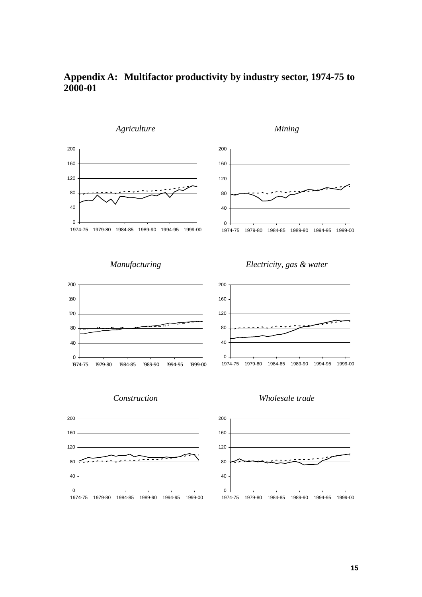

#### **Appendix A: Multifactor productivity by industry sector, 1974-75 to 2000-01**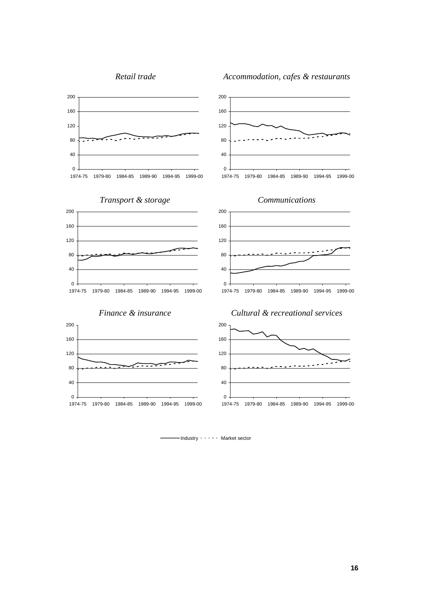*Retail trade Accommodation, cafes & restaurants*



-Industry - - - - Market sector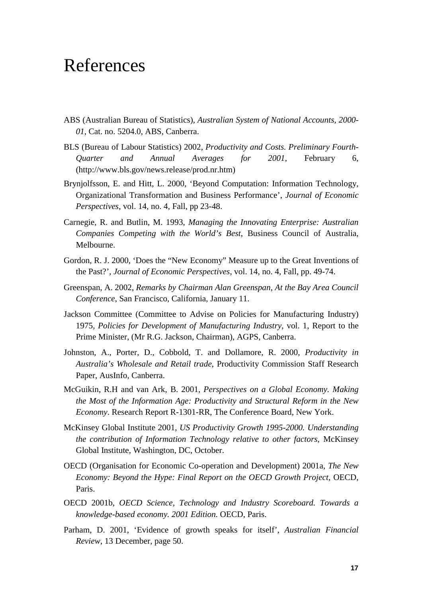## References

- ABS (Australian Bureau of Statistics)*, Australian System of National Accounts, 2000- 01,* Cat. no. 5204.0, ABS, Canberra.
- BLS (Bureau of Labour Statistics) 2002, *Productivity and Costs. Preliminary Fourth-Quarter and Annual Averages for 2001*, February 6, (http://www.bls.gov/news.release/prod.nr.htm)
- Brynjolfsson, E. and Hitt, L. 2000, 'Beyond Computation: Information Technology, Organizational Transformation and Business Performance', *Journal of Economic Perspectives*, vol. 14, no. 4, Fall, pp 23-48.
- Carnegie, R. and Butlin, M. 1993, *Managing the Innovating Enterprise: Australian Companies Competing with the World's Best*, Business Council of Australia, Melbourne.
- Gordon, R. J. 2000, 'Does the "New Economy" Measure up to the Great Inventions of the Past?', *Journal of Economic Perspectives*, vol. 14, no. 4, Fall, pp. 49-74.
- Greenspan, A. 2002, *Remarks by Chairman Alan Greenspan, At the Bay Area Council Conference*, San Francisco, California, January 11.
- Jackson Committee (Committee to Advise on Policies for Manufacturing Industry) 1975, *Policies for Development of Manufacturing Industry*, vol. 1, Report to the Prime Minister, (Mr R.G. Jackson, Chairman), AGPS, Canberra.
- Johnston, A., Porter, D., Cobbold, T. and Dollamore, R. 2000, *Productivity in Australia's Wholesale and Retail trade*, Productivity Commission Staff Research Paper, AusInfo, Canberra.
- McGuikin, R.H and van Ark, B. 2001, *Perspectives on a Global Economy. Making the Most of the Information Age: Productivity and Structural Reform in the New Economy*. Research Report R-1301-RR, The Conference Board, New York.
- McKinsey Global Institute 2001, *US Productivity Growth 1995-2000. Understanding the contribution of Information Technology relative to other factors*, McKinsey Global Institute, Washington, DC, October.
- OECD (Organisation for Economic Co-operation and Development) 2001a, *The New Economy: Beyond the Hype: Final Report on the OECD Growth Project,* OECD, Paris.
- OECD 2001b, *OECD Science, Technology and Industry Scoreboard. Towards a knowledge-based economy. 2001 Edition.* OECD, Paris.
- Parham, D. 2001, 'Evidence of growth speaks for itself', *Australian Financial Review*, 13 December, page 50.